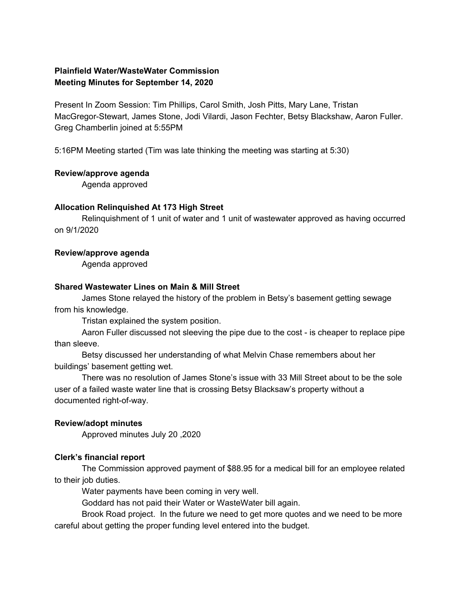# **Plainfield Water/WasteWater Commission Meeting Minutes for September 14, 2020**

Present In Zoom Session: Tim Phillips, Carol Smith, Josh Pitts, Mary Lane, Tristan MacGregor-Stewart, James Stone, Jodi Vilardi, Jason Fechter, Betsy Blackshaw, Aaron Fuller. Greg Chamberlin joined at 5:55PM

5:16PM Meeting started (Tim was late thinking the meeting was starting at 5:30)

## **Review/approve agenda**

Agenda approved

## **Allocation Relinquished At 173 High Street**

Relinquishment of 1 unit of water and 1 unit of wastewater approved as having occurred on 9/1/2020

## **Review/approve agenda**

Agenda approved

#### **Shared Wastewater Lines on Main & Mill Street**

James Stone relayed the history of the problem in Betsy's basement getting sewage from his knowledge.

Tristan explained the system position.

Aaron Fuller discussed not sleeving the pipe due to the cost - is cheaper to replace pipe than sleeve.

Betsy discussed her understanding of what Melvin Chase remembers about her buildings' basement getting wet.

There was no resolution of James Stone's issue with 33 Mill Street about to be the sole user of a failed waste water line that is crossing Betsy Blacksaw's property without a documented right-of-way.

## **Review/adopt minutes**

Approved minutes July 20 ,2020

## **Clerk's financial report**

The Commission approved payment of \$88.95 for a medical bill for an employee related to their job duties.

Water payments have been coming in very well.

Goddard has not paid their Water or WasteWater bill again.

Brook Road project. In the future we need to get more quotes and we need to be more careful about getting the proper funding level entered into the budget.